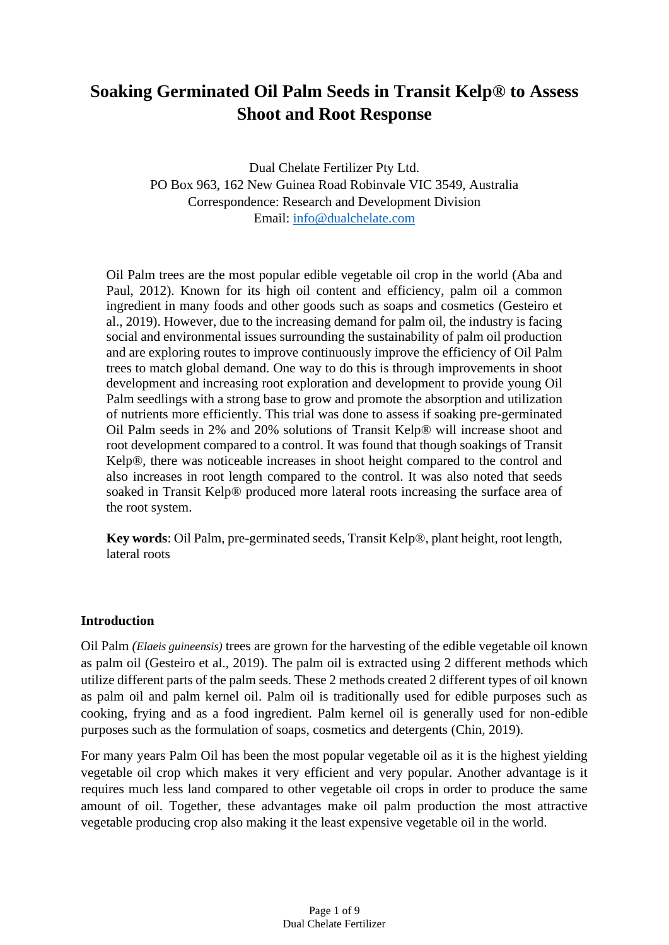# **Soaking Germinated Oil Palm Seeds in Transit Kelp® to Assess Shoot and Root Response**

Dual Chelate Fertilizer Pty Ltd. PO Box 963, 162 New Guinea Road Robinvale VIC 3549, Australia Correspondence: Research and Development Division Email: [info@dualchelate.com](mailto:info@dualchelate.com)

Oil Palm trees are the most popular edible vegetable oil crop in the world (Aba and Paul, 2012). Known for its high oil content and efficiency, palm oil a common ingredient in many foods and other goods such as soaps and cosmetics (Gesteiro et al., 2019). However, due to the increasing demand for palm oil, the industry is facing social and environmental issues surrounding the sustainability of palm oil production and are exploring routes to improve continuously improve the efficiency of Oil Palm trees to match global demand. One way to do this is through improvements in shoot development and increasing root exploration and development to provide young Oil Palm seedlings with a strong base to grow and promote the absorption and utilization of nutrients more efficiently. This trial was done to assess if soaking pre-germinated Oil Palm seeds in 2% and 20% solutions of Transit Kelp® will increase shoot and root development compared to a control. It was found that though soakings of Transit Kelp®, there was noticeable increases in shoot height compared to the control and also increases in root length compared to the control. It was also noted that seeds soaked in Transit Kelp® produced more lateral roots increasing the surface area of the root system.

**Key words**: Oil Palm, pre-germinated seeds, Transit Kelp®, plant height, root length, lateral roots

#### **Introduction**

Oil Palm *(Elaeis guineensis)* trees are grown for the harvesting of the edible vegetable oil known as palm oil (Gesteiro et al., 2019). The palm oil is extracted using 2 different methods which utilize different parts of the palm seeds. These 2 methods created 2 different types of oil known as palm oil and palm kernel oil. Palm oil is traditionally used for edible purposes such as cooking, frying and as a food ingredient. Palm kernel oil is generally used for non-edible purposes such as the formulation of soaps, cosmetics and detergents (Chin, 2019).

For many years Palm Oil has been the most popular vegetable oil as it is the highest yielding vegetable oil crop which makes it very efficient and very popular. Another advantage is it requires much less land compared to other vegetable oil crops in order to produce the same amount of oil. Together, these advantages make oil palm production the most attractive vegetable producing crop also making it the least expensive vegetable oil in the world.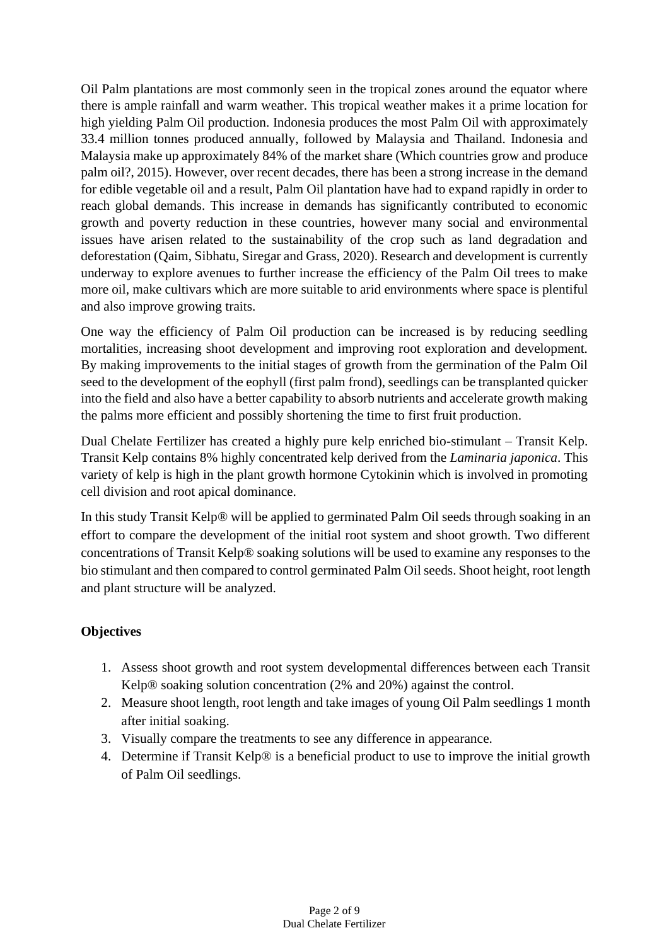Oil Palm plantations are most commonly seen in the tropical zones around the equator where there is ample rainfall and warm weather. This tropical weather makes it a prime location for high yielding Palm Oil production. Indonesia produces the most Palm Oil with approximately 33.4 million tonnes produced annually, followed by Malaysia and Thailand. Indonesia and Malaysia make up approximately 84% of the market share (Which countries grow and produce palm oil?, 2015). However, over recent decades, there has been a strong increase in the demand for edible vegetable oil and a result, Palm Oil plantation have had to expand rapidly in order to reach global demands. This increase in demands has significantly contributed to economic growth and poverty reduction in these countries, however many social and environmental issues have arisen related to the sustainability of the crop such as land degradation and deforestation (Qaim, Sibhatu, Siregar and Grass, 2020). Research and development is currently underway to explore avenues to further increase the efficiency of the Palm Oil trees to make more oil, make cultivars which are more suitable to arid environments where space is plentiful and also improve growing traits.

One way the efficiency of Palm Oil production can be increased is by reducing seedling mortalities, increasing shoot development and improving root exploration and development. By making improvements to the initial stages of growth from the germination of the Palm Oil seed to the development of the eophyll (first palm frond), seedlings can be transplanted quicker into the field and also have a better capability to absorb nutrients and accelerate growth making the palms more efficient and possibly shortening the time to first fruit production.

Dual Chelate Fertilizer has created a highly pure kelp enriched bio-stimulant – Transit Kelp. Transit Kelp contains 8% highly concentrated kelp derived from the *Laminaria japonica*. This variety of kelp is high in the plant growth hormone Cytokinin which is involved in promoting cell division and root apical dominance.

In this study Transit Kelp® will be applied to germinated Palm Oil seeds through soaking in an effort to compare the development of the initial root system and shoot growth. Two different concentrations of Transit Kelp® soaking solutions will be used to examine any responses to the bio stimulant and then compared to control germinated Palm Oil seeds. Shoot height, root length and plant structure will be analyzed.

## **Objectives**

- 1. Assess shoot growth and root system developmental differences between each Transit Kelp® soaking solution concentration (2% and 20%) against the control.
- 2. Measure shoot length, root length and take images of young Oil Palm seedlings 1 month after initial soaking.
- 3. Visually compare the treatments to see any difference in appearance.
- 4. Determine if Transit Kelp® is a beneficial product to use to improve the initial growth of Palm Oil seedlings.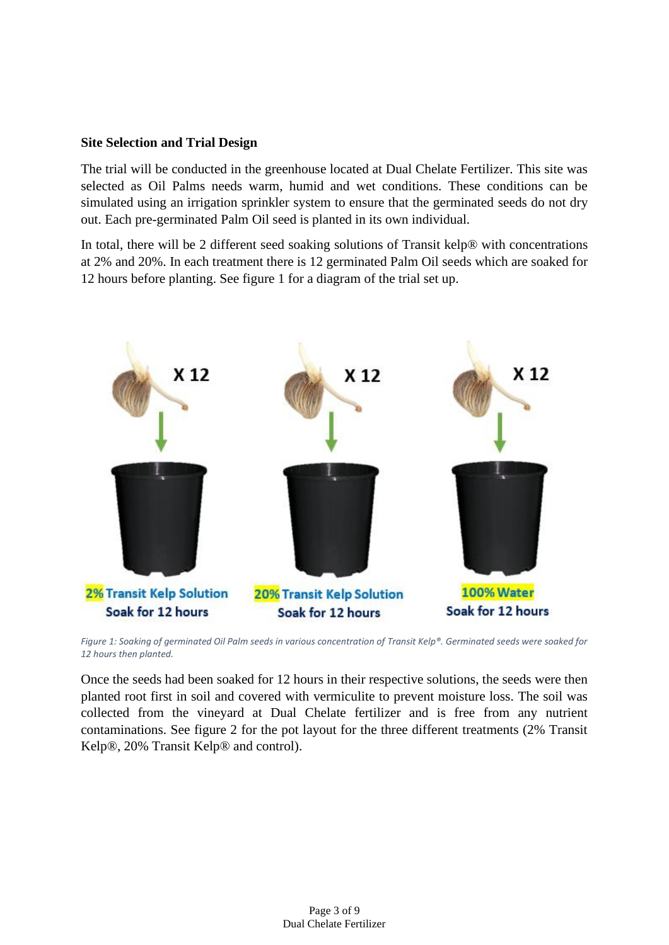#### **Site Selection and Trial Design**

The trial will be conducted in the greenhouse located at Dual Chelate Fertilizer. This site was selected as Oil Palms needs warm, humid and wet conditions. These conditions can be simulated using an irrigation sprinkler system to ensure that the germinated seeds do not dry out. Each pre-germinated Palm Oil seed is planted in its own individual.

In total, there will be 2 different seed soaking solutions of Transit kelp® with concentrations at 2% and 20%. In each treatment there is 12 germinated Palm Oil seeds which are soaked for 12 hours before planting. See figure 1 for a diagram of the trial set up.



*Figure 1: Soaking of germinated Oil Palm seeds in various concentration of Transit Kelp®. Germinated seeds were soaked for 12 hours then planted.*

Once the seeds had been soaked for 12 hours in their respective solutions, the seeds were then planted root first in soil and covered with vermiculite to prevent moisture loss. The soil was collected from the vineyard at Dual Chelate fertilizer and is free from any nutrient contaminations. See figure 2 for the pot layout for the three different treatments (2% Transit Kelp®, 20% Transit Kelp® and control).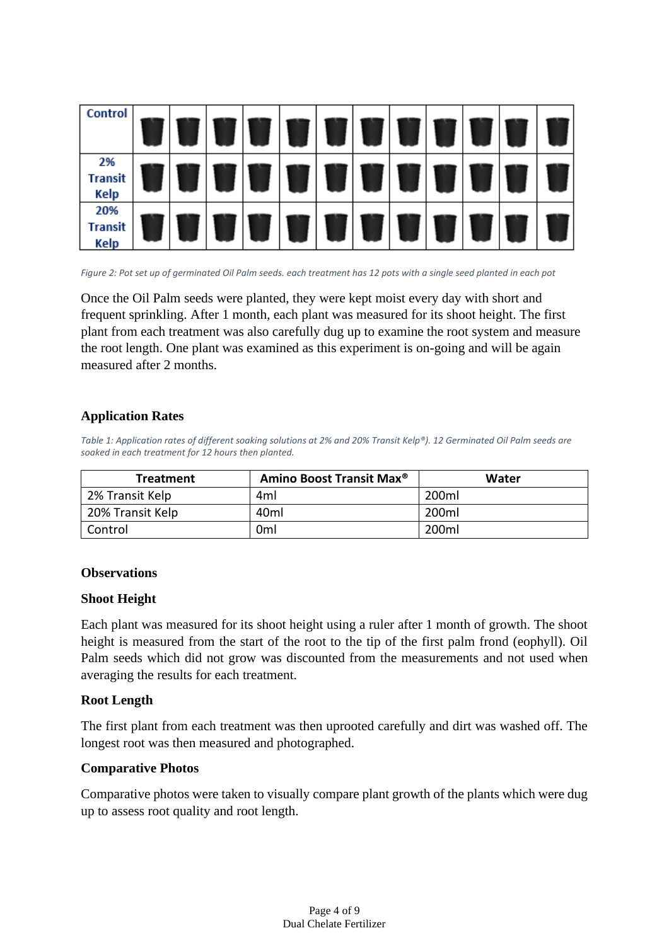

*Figure 2: Pot set up of germinated Oil Palm seeds. each treatment has 12 pots with a single seed planted in each pot*

Once the Oil Palm seeds were planted, they were kept moist every day with short and frequent sprinkling. After 1 month, each plant was measured for its shoot height. The first plant from each treatment was also carefully dug up to examine the root system and measure the root length. One plant was examined as this experiment is on-going and will be again measured after 2 months.

### **Application Rates**

*Table 1: Application rates of different soaking solutions at 2% and 20% Transit Kelp®). 12 Germinated Oil Palm seeds are soaked in each treatment for 12 hours then planted.*

| <b>Treatment</b> | Amino Boost Transit Max <sup>®</sup> | Water             |
|------------------|--------------------------------------|-------------------|
| 2% Transit Kelp  | 4ml                                  | 200ml             |
| 20% Transit Kelp | 40ml                                 | 200ml             |
| Control          | 0ml                                  | 200 <sub>ml</sub> |

#### **Observations**

#### **Shoot Height**

Each plant was measured for its shoot height using a ruler after 1 month of growth. The shoot height is measured from the start of the root to the tip of the first palm frond (eophyll). Oil Palm seeds which did not grow was discounted from the measurements and not used when averaging the results for each treatment.

#### **Root Length**

The first plant from each treatment was then uprooted carefully and dirt was washed off. The longest root was then measured and photographed.

#### **Comparative Photos**

Comparative photos were taken to visually compare plant growth of the plants which were dug up to assess root quality and root length.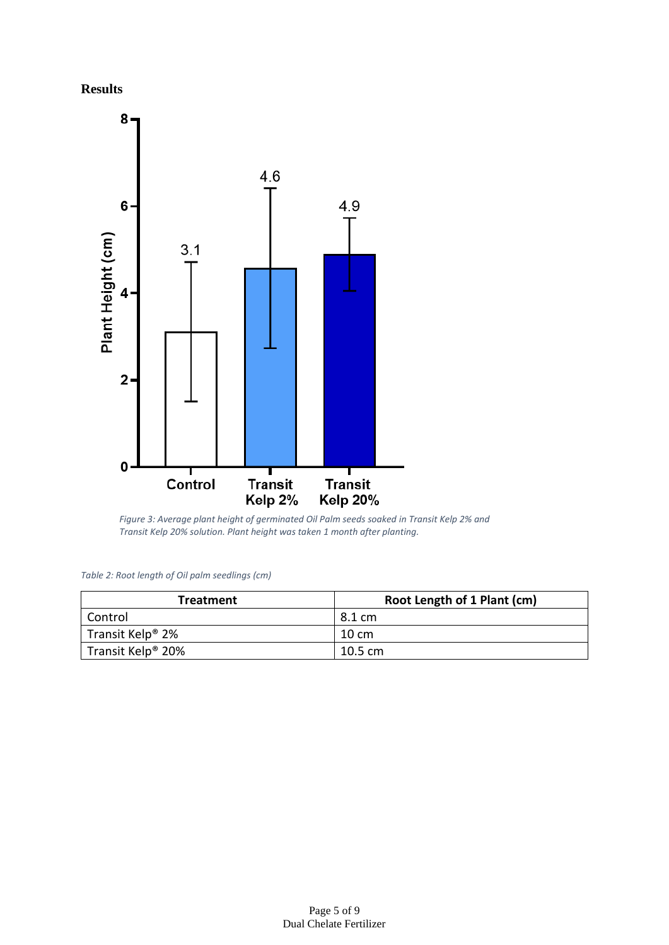



Figure 3: Average plant height of germinated Oil Palm seeds soaked in Transit Kelp 2% and *Transit Kelp 20% solution. Plant height was taken 1 month after planting.*

| Table 2: Root length of Oil palm seedlings (cm) |  |  |  |  |
|-------------------------------------------------|--|--|--|--|
|-------------------------------------------------|--|--|--|--|

| <b>Treatment</b>              | Root Length of 1 Plant (cm) |
|-------------------------------|-----------------------------|
| Control                       | 8.1 cm                      |
| Transit Kelp <sup>®</sup> 2%  | 10 cm                       |
| Transit Kelp <sup>®</sup> 20% | $10.5 \text{ cm}$           |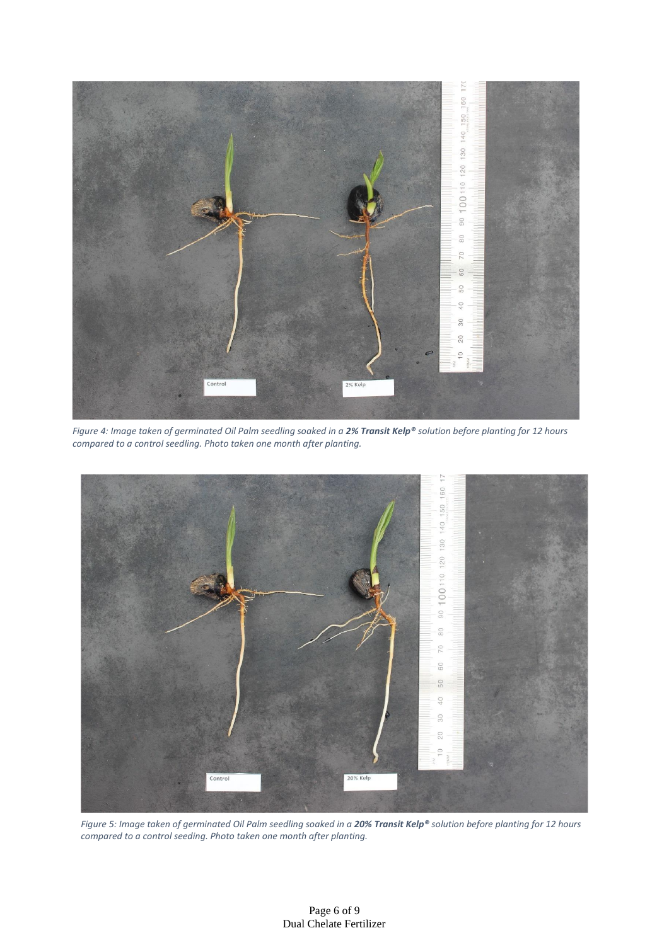

*Figure 4: Image taken of germinated Oil Palm seedling soaked in a 2% Transit Kelp® solution before planting for 12 hours compared to a control seedling. Photo taken one month after planting.*



*Figure 5: Image taken of germinated Oil Palm seedling soaked in a 20% Transit Kelp® solution before planting for 12 hours compared to a control seeding. Photo taken one month after planting.*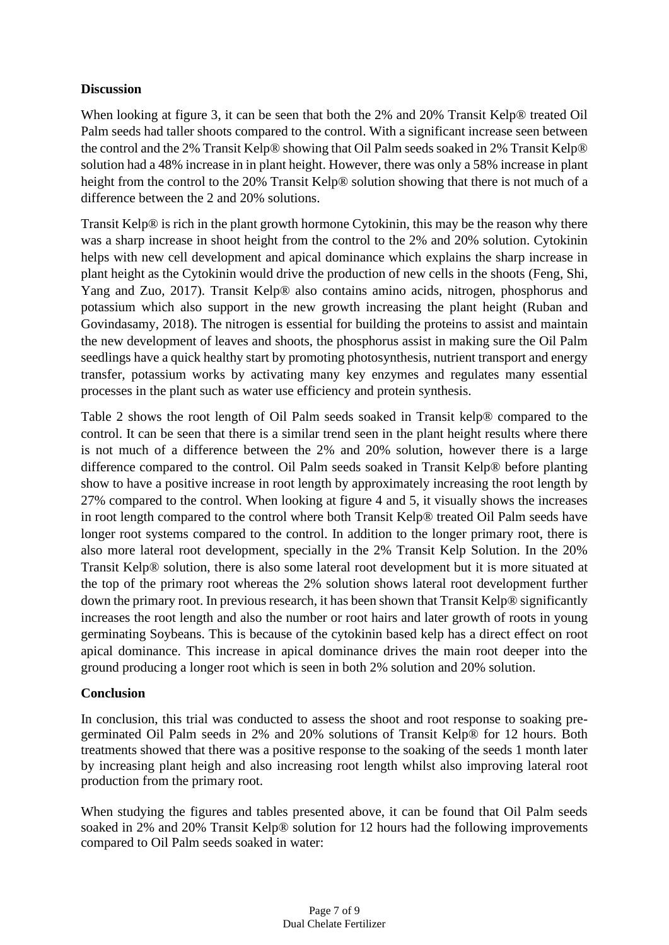#### **Discussion**

When looking at figure 3, it can be seen that both the 2% and 20% Transit Kelp® treated Oil Palm seeds had taller shoots compared to the control. With a significant increase seen between the control and the 2% Transit Kelp® showing that Oil Palm seeds soaked in 2% Transit Kelp® solution had a 48% increase in in plant height. However, there was only a 58% increase in plant height from the control to the 20% Transit Kelp® solution showing that there is not much of a difference between the 2 and 20% solutions.

Transit Kelp® is rich in the plant growth hormone Cytokinin, this may be the reason why there was a sharp increase in shoot height from the control to the 2% and 20% solution. Cytokinin helps with new cell development and apical dominance which explains the sharp increase in plant height as the Cytokinin would drive the production of new cells in the shoots (Feng, Shi, Yang and Zuo, 2017). Transit Kelp® also contains amino acids, nitrogen, phosphorus and potassium which also support in the new growth increasing the plant height (Ruban and Govindasamy, 2018). The nitrogen is essential for building the proteins to assist and maintain the new development of leaves and shoots, the phosphorus assist in making sure the Oil Palm seedlings have a quick healthy start by promoting photosynthesis, nutrient transport and energy transfer, potassium works by activating many key enzymes and regulates many essential processes in the plant such as water use efficiency and protein synthesis.

Table 2 shows the root length of Oil Palm seeds soaked in Transit kelp® compared to the control. It can be seen that there is a similar trend seen in the plant height results where there is not much of a difference between the 2% and 20% solution, however there is a large difference compared to the control. Oil Palm seeds soaked in Transit Kelp® before planting show to have a positive increase in root length by approximately increasing the root length by 27% compared to the control. When looking at figure 4 and 5, it visually shows the increases in root length compared to the control where both Transit Kelp® treated Oil Palm seeds have longer root systems compared to the control. In addition to the longer primary root, there is also more lateral root development, specially in the 2% Transit Kelp Solution. In the 20% Transit Kelp® solution, there is also some lateral root development but it is more situated at the top of the primary root whereas the 2% solution shows lateral root development further down the primary root. In previous research, it has been shown that Transit Kelp® significantly increases the root length and also the number or root hairs and later growth of roots in young germinating Soybeans. This is because of the cytokinin based kelp has a direct effect on root apical dominance. This increase in apical dominance drives the main root deeper into the ground producing a longer root which is seen in both 2% solution and 20% solution.

#### **Conclusion**

In conclusion, this trial was conducted to assess the shoot and root response to soaking pregerminated Oil Palm seeds in 2% and 20% solutions of Transit Kelp® for 12 hours. Both treatments showed that there was a positive response to the soaking of the seeds 1 month later by increasing plant heigh and also increasing root length whilst also improving lateral root production from the primary root.

When studying the figures and tables presented above, it can be found that Oil Palm seeds soaked in 2% and 20% Transit Kelp® solution for 12 hours had the following improvements compared to Oil Palm seeds soaked in water: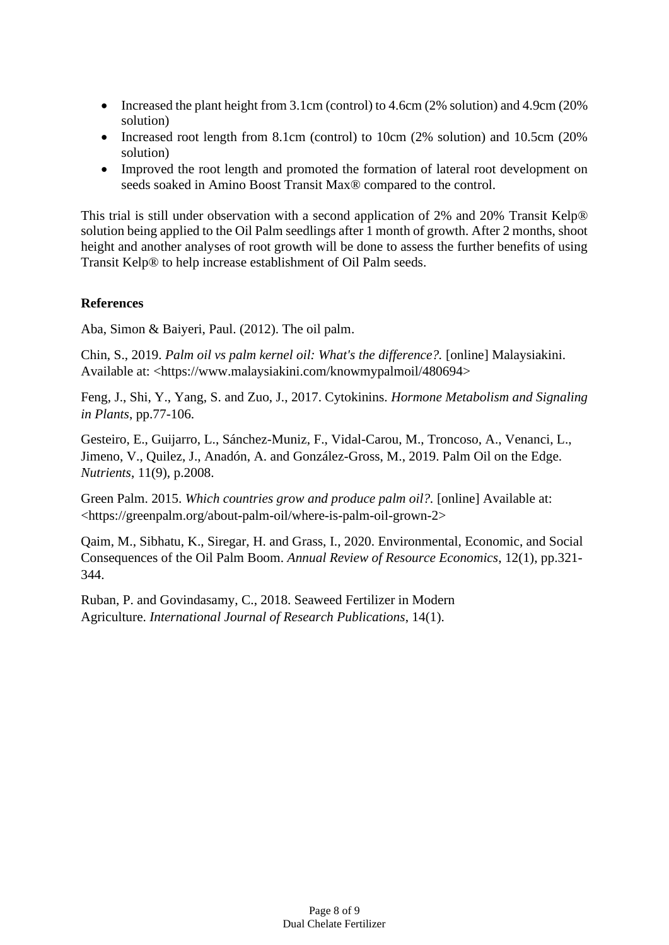- Increased the plant height from 3.1cm (control) to 4.6cm (2% solution) and 4.9cm (20% solution)
- Increased root length from 8.1cm (control) to 10cm (2% solution) and 10.5cm (20% solution)
- Improved the root length and promoted the formation of lateral root development on seeds soaked in Amino Boost Transit Max® compared to the control.

This trial is still under observation with a second application of 2% and 20% Transit Kelp® solution being applied to the Oil Palm seedlings after 1 month of growth. After 2 months, shoot height and another analyses of root growth will be done to assess the further benefits of using Transit Kelp® to help increase establishment of Oil Palm seeds.

#### **References**

Aba, Simon & Baiyeri, Paul. (2012). The oil palm.

Chin, S., 2019. *Palm oil vs palm kernel oil: What's the difference?.* [online] Malaysiakini. Available at: <https://www.malaysiakini.com/knowmypalmoil/480694>

Feng, J., Shi, Y., Yang, S. and Zuo, J., 2017. Cytokinins. *Hormone Metabolism and Signaling in Plants*, pp.77-106.

Gesteiro, E., Guijarro, L., Sánchez-Muniz, F., Vidal-Carou, M., Troncoso, A., Venanci, L., Jimeno, V., Quilez, J., Anadón, A. and González-Gross, M., 2019. Palm Oil on the Edge. *Nutrients*, 11(9), p.2008.

Green Palm. 2015. *Which countries grow and produce palm oil?.* [online] Available at: <https://greenpalm.org/about-palm-oil/where-is-palm-oil-grown-2>

Qaim, M., Sibhatu, K., Siregar, H. and Grass, I., 2020. Environmental, Economic, and Social Consequences of the Oil Palm Boom. *Annual Review of Resource Economics*, 12(1), pp.321- 344.

Ruban, P. and Govindasamy, C., 2018. Seaweed Fertilizer in Modern Agriculture. *International Journal of Research Publications*, 14(1).